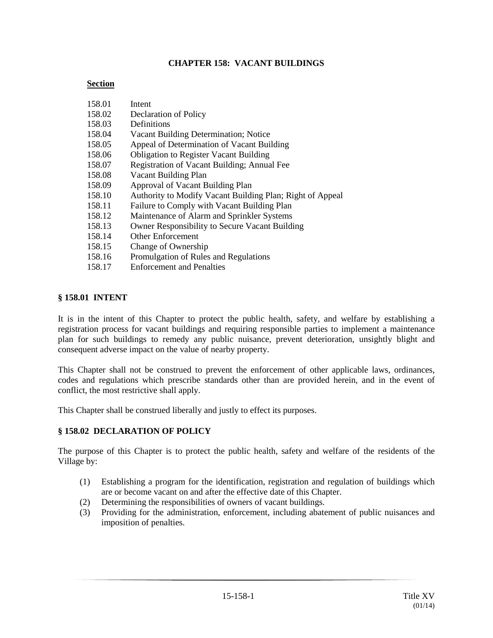### **CHAPTER 158: VACANT BUILDINGS**

### **Section**

| 158.01 | Intent                                                    |
|--------|-----------------------------------------------------------|
| 158.02 | Declaration of Policy                                     |
| 158.03 | Definitions                                               |
| 158.04 | Vacant Building Determination; Notice                     |
| 158.05 | Appeal of Determination of Vacant Building                |
| 158.06 | <b>Obligation to Register Vacant Building</b>             |
| 158.07 | Registration of Vacant Building; Annual Fee               |
| 158.08 | Vacant Building Plan                                      |
| 158.09 | Approval of Vacant Building Plan                          |
| 158.10 | Authority to Modify Vacant Building Plan; Right of Appeal |
| 158.11 | Failure to Comply with Vacant Building Plan               |
| 158.12 | Maintenance of Alarm and Sprinkler Systems                |
| 158.13 | Owner Responsibility to Secure Vacant Building            |
| 158.14 | <b>Other Enforcement</b>                                  |
| 158.15 | Change of Ownership                                       |
| 158.16 | Promulgation of Rules and Regulations                     |
| 158.17 | <b>Enforcement and Penalties</b>                          |

### **§ 158.01 INTENT**

It is in the intent of this Chapter to protect the public health, safety, and welfare by establishing a registration process for vacant buildings and requiring responsible parties to implement a maintenance plan for such buildings to remedy any public nuisance, prevent deterioration, unsightly blight and consequent adverse impact on the value of nearby property.

This Chapter shall not be construed to prevent the enforcement of other applicable laws, ordinances, codes and regulations which prescribe standards other than are provided herein, and in the event of conflict, the most restrictive shall apply.

This Chapter shall be construed liberally and justly to effect its purposes.

#### **§ 158.02 DECLARATION OF POLICY**

The purpose of this Chapter is to protect the public health, safety and welfare of the residents of the Village by:

- (1) Establishing a program for the identification, registration and regulation of buildings which are or become vacant on and after the effective date of this Chapter.
- (2) Determining the responsibilities of owners of vacant buildings.
- (3) Providing for the administration, enforcement, including abatement of public nuisances and imposition of penalties.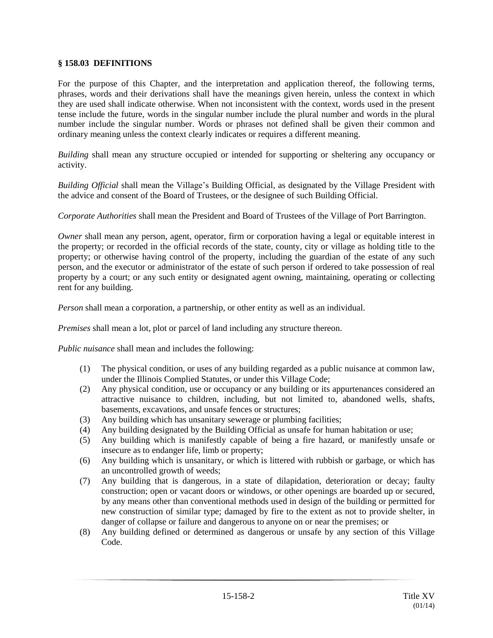### **§ 158.03 DEFINITIONS**

For the purpose of this Chapter, and the interpretation and application thereof, the following terms, phrases, words and their derivations shall have the meanings given herein, unless the context in which they are used shall indicate otherwise. When not inconsistent with the context, words used in the present tense include the future, words in the singular number include the plural number and words in the plural number include the singular number. Words or phrases not defined shall be given their common and ordinary meaning unless the context clearly indicates or requires a different meaning.

*Building* shall mean any structure occupied or intended for supporting or sheltering any occupancy or activity.

*Building Official* shall mean the Village's Building Official, as designated by the Village President with the advice and consent of the Board of Trustees, or the designee of such Building Official.

*Corporate Authorities* shall mean the President and Board of Trustees of the Village of Port Barrington.

*Owner* shall mean any person, agent, operator, firm or corporation having a legal or equitable interest in the property; or recorded in the official records of the state, county, city or village as holding title to the property; or otherwise having control of the property, including the guardian of the estate of any such person, and the executor or administrator of the estate of such person if ordered to take possession of real property by a court; or any such entity or designated agent owning, maintaining, operating or collecting rent for any building.

*Person* shall mean a corporation, a partnership, or other entity as well as an individual.

*Premises* shall mean a lot, plot or parcel of land including any structure thereon.

*Public nuisance* shall mean and includes the following:

- (1) The physical condition, or uses of any building regarded as a public nuisance at common law, under the Illinois Complied Statutes, or under this Village Code;
- (2) Any physical condition, use or occupancy or any building or its appurtenances considered an attractive nuisance to children, including, but not limited to, abandoned wells, shafts, basements, excavations, and unsafe fences or structures;
- (3) Any building which has unsanitary sewerage or plumbing facilities;
- (4) Any building designated by the Building Official as unsafe for human habitation or use;
- (5) Any building which is manifestly capable of being a fire hazard, or manifestly unsafe or insecure as to endanger life, limb or property;
- (6) Any building which is unsanitary, or which is littered with rubbish or garbage, or which has an uncontrolled growth of weeds;
- (7) Any building that is dangerous, in a state of dilapidation, deterioration or decay; faulty construction; open or vacant doors or windows, or other openings are boarded up or secured, by any means other than conventional methods used in design of the building or permitted for new construction of similar type; damaged by fire to the extent as not to provide shelter, in danger of collapse or failure and dangerous to anyone on or near the premises; or
- (8) Any building defined or determined as dangerous or unsafe by any section of this Village Code.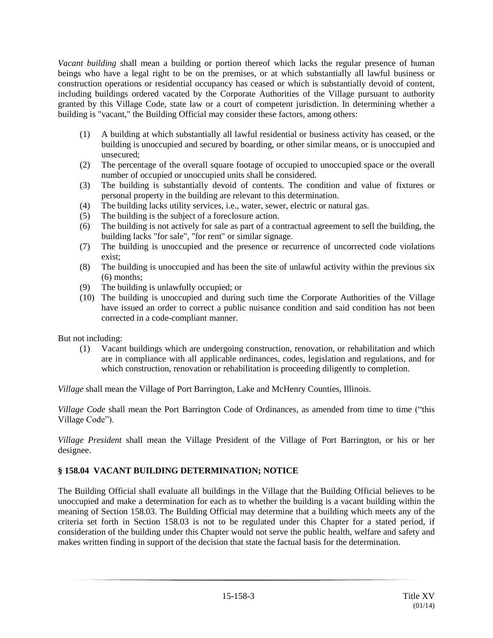*Vacant building* shall mean a building or portion thereof which lacks the regular presence of human beings who have a legal right to be on the premises, or at which substantially all lawful business or construction operations or residential occupancy has ceased or which is substantially devoid of content, including buildings ordered vacated by the Corporate Authorities of the Village pursuant to authority granted by this Village Code, state law or a court of competent jurisdiction. In determining whether a building is "vacant," the Building Official may consider these factors, among others:

- (1) A building at which substantially all lawful residential or business activity has ceased, or the building is unoccupied and secured by boarding, or other similar means, or is unoccupied and unsecured;
- (2) The percentage of the overall square footage of occupied to unoccupied space or the overall number of occupied or unoccupied units shall be considered.
- (3) The building is substantially devoid of contents. The condition and value of fixtures or personal property in the building are relevant to this determination.
- (4) The building lacks utility services, i.e., water, sewer, electric or natural gas.
- (5) The building is the subject of a foreclosure action.
- (6) The building is not actively for sale as part of a contractual agreement to sell the building, the building lacks "for sale", "for rent" or similar signage.
- (7) The building is unoccupied and the presence or recurrence of uncorrected code violations exist;
- (8) The building is unoccupied and has been the site of unlawful activity within the previous six (6) months;
- (9) The building is unlawfully occupied; or
- (10) The building is unoccupied and during such time the Corporate Authorities of the Village have issued an order to correct a public nuisance condition and said condition has not been corrected in a code-compliant manner.

But not including:

(1) Vacant buildings which are undergoing construction, renovation, or rehabilitation and which are in compliance with all applicable ordinances, codes, legislation and regulations, and for which construction, renovation or rehabilitation is proceeding diligently to completion.

*Village* shall mean the Village of Port Barrington, Lake and McHenry Counties, Illinois.

*Village Code* shall mean the Port Barrington Code of Ordinances, as amended from time to time ("this Village Code").

*Village President* shall mean the Village President of the Village of Port Barrington, or his or her designee.

## **§ 158.04 VACANT BUILDING DETERMINATION; NOTICE**

The Building Official shall evaluate all buildings in the Village that the Building Official believes to be unoccupied and make a determination for each as to whether the building is a vacant building within the meaning of Section 158.03. The Building Official may determine that a building which meets any of the criteria set forth in Section 158.03 is not to be regulated under this Chapter for a stated period, if consideration of the building under this Chapter would not serve the public health, welfare and safety and makes written finding in support of the decision that state the factual basis for the determination.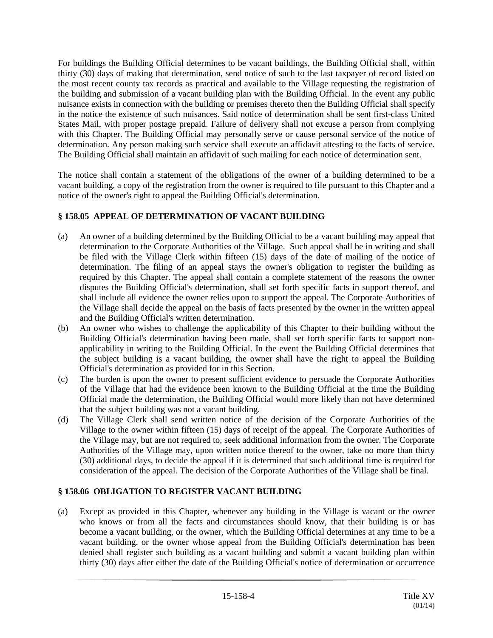For buildings the Building Official determines to be vacant buildings, the Building Official shall, within thirty (30) days of making that determination, send notice of such to the last taxpayer of record listed on the most recent county tax records as practical and available to the Village requesting the registration of the building and submission of a vacant building plan with the Building Official. In the event any public nuisance exists in connection with the building or premises thereto then the Building Official shall specify in the notice the existence of such nuisances. Said notice of determination shall be sent first-class United States Mail, with proper postage prepaid. Failure of delivery shall not excuse a person from complying with this Chapter. The Building Official may personally serve or cause personal service of the notice of determination. Any person making such service shall execute an affidavit attesting to the facts of service. The Building Official shall maintain an affidavit of such mailing for each notice of determination sent.

The notice shall contain a statement of the obligations of the owner of a building determined to be a vacant building, a copy of the registration from the owner is required to file pursuant to this Chapter and a notice of the owner's right to appeal the Building Official's determination.

## **§ 158.05 APPEAL OF DETERMINATION OF VACANT BUILDING**

- (a) An owner of a building determined by the Building Official to be a vacant building may appeal that determination to the Corporate Authorities of the Village. Such appeal shall be in writing and shall be filed with the Village Clerk within fifteen (15) days of the date of mailing of the notice of determination. The filing of an appeal stays the owner's obligation to register the building as required by this Chapter. The appeal shall contain a complete statement of the reasons the owner disputes the Building Official's determination, shall set forth specific facts in support thereof, and shall include all evidence the owner relies upon to support the appeal. The Corporate Authorities of the Village shall decide the appeal on the basis of facts presented by the owner in the written appeal and the Building Official's written determination.
- (b) An owner who wishes to challenge the applicability of this Chapter to their building without the Building Official's determination having been made, shall set forth specific facts to support nonapplicability in writing to the Building Official. In the event the Building Official determines that the subject building is a vacant building, the owner shall have the right to appeal the Building Official's determination as provided for in this Section.
- (c) The burden is upon the owner to present sufficient evidence to persuade the Corporate Authorities of the Village that had the evidence been known to the Building Official at the time the Building Official made the determination, the Building Official would more likely than not have determined that the subject building was not a vacant building.
- (d) The Village Clerk shall send written notice of the decision of the Corporate Authorities of the Village to the owner within fifteen (15) days of receipt of the appeal. The Corporate Authorities of the Village may, but are not required to, seek additional information from the owner. The Corporate Authorities of the Village may, upon written notice thereof to the owner, take no more than thirty (30) additional days, to decide the appeal if it is determined that such additional time is required for consideration of the appeal. The decision of the Corporate Authorities of the Village shall be final.

# **§ 158.06 OBLIGATION TO REGISTER VACANT BUILDING**

(a) Except as provided in this Chapter, whenever any building in the Village is vacant or the owner who knows or from all the facts and circumstances should know, that their building is or has become a vacant building, or the owner, which the Building Official determines at any time to be a vacant building, or the owner whose appeal from the Building Official's determination has been denied shall register such building as a vacant building and submit a vacant building plan within thirty (30) days after either the date of the Building Official's notice of determination or occurrence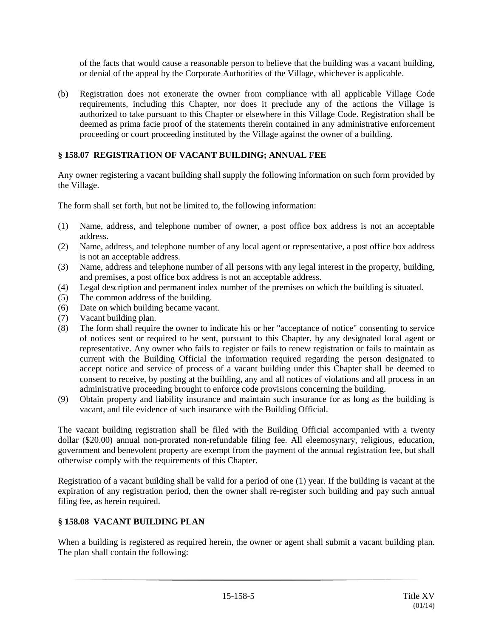of the facts that would cause a reasonable person to believe that the building was a vacant building, or denial of the appeal by the Corporate Authorities of the Village, whichever is applicable.

(b) Registration does not exonerate the owner from compliance with all applicable Village Code requirements, including this Chapter, nor does it preclude any of the actions the Village is authorized to take pursuant to this Chapter or elsewhere in this Village Code. Registration shall be deemed as prima facie proof of the statements therein contained in any administrative enforcement proceeding or court proceeding instituted by the Village against the owner of a building.

# **§ 158.07 REGISTRATION OF VACANT BUILDING; ANNUAL FEE**

Any owner registering a vacant building shall supply the following information on such form provided by the Village.

The form shall set forth, but not be limited to, the following information:

- (1) Name, address, and telephone number of owner, a post office box address is not an acceptable address.
- (2) Name, address, and telephone number of any local agent or representative, a post office box address is not an acceptable address.
- (3) Name, address and telephone number of all persons with any legal interest in the property, building, and premises, a post office box address is not an acceptable address.
- (4) Legal description and permanent index number of the premises on which the building is situated.
- (5) The common address of the building.
- (6) Date on which building became vacant.
- (7) Vacant building plan.
- (8) The form shall require the owner to indicate his or her "acceptance of notice" consenting to service of notices sent or required to be sent, pursuant to this Chapter, by any designated local agent or representative. Any owner who fails to register or fails to renew registration or fails to maintain as current with the Building Official the information required regarding the person designated to accept notice and service of process of a vacant building under this Chapter shall be deemed to consent to receive, by posting at the building, any and all notices of violations and all process in an administrative proceeding brought to enforce code provisions concerning the building.
- (9) Obtain property and liability insurance and maintain such insurance for as long as the building is vacant, and file evidence of such insurance with the Building Official.

The vacant building registration shall be filed with the Building Official accompanied with a twenty dollar (\$20.00) annual non-prorated non-refundable filing fee. All eleemosynary, religious, education, government and benevolent property are exempt from the payment of the annual registration fee, but shall otherwise comply with the requirements of this Chapter.

Registration of a vacant building shall be valid for a period of one (1) year. If the building is vacant at the expiration of any registration period, then the owner shall re-register such building and pay such annual filing fee, as herein required.

# **§ 158.08 VACANT BUILDING PLAN**

When a building is registered as required herein, the owner or agent shall submit a vacant building plan. The plan shall contain the following: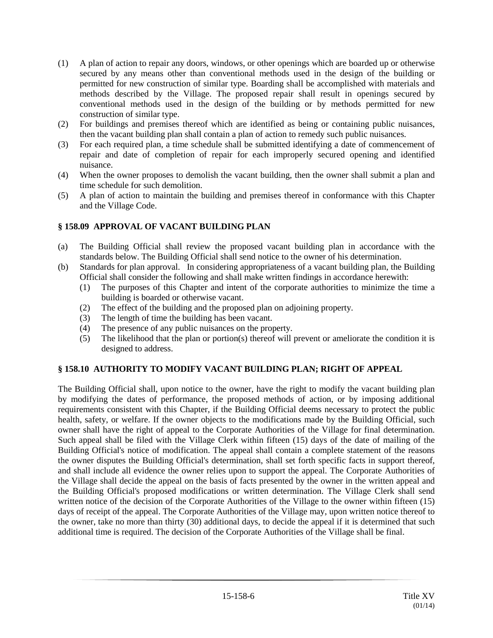- (1) A plan of action to repair any doors, windows, or other openings which are boarded up or otherwise secured by any means other than conventional methods used in the design of the building or permitted for new construction of similar type. Boarding shall be accomplished with materials and methods described by the Village. The proposed repair shall result in openings secured by conventional methods used in the design of the building or by methods permitted for new construction of similar type.
- (2) For buildings and premises thereof which are identified as being or containing public nuisances, then the vacant building plan shall contain a plan of action to remedy such public nuisances.
- (3) For each required plan, a time schedule shall be submitted identifying a date of commencement of repair and date of completion of repair for each improperly secured opening and identified nuisance.
- (4) When the owner proposes to demolish the vacant building, then the owner shall submit a plan and time schedule for such demolition.
- (5) A plan of action to maintain the building and premises thereof in conformance with this Chapter and the Village Code.

## **§ 158.09 APPROVAL OF VACANT BUILDING PLAN**

- (a) The Building Official shall review the proposed vacant building plan in accordance with the standards below. The Building Official shall send notice to the owner of his determination.
- (b) Standards for plan approval. In considering appropriateness of a vacant building plan, the Building Official shall consider the following and shall make written findings in accordance herewith:
	- (1) The purposes of this Chapter and intent of the corporate authorities to minimize the time a building is boarded or otherwise vacant.
	- (2) The effect of the building and the proposed plan on adjoining property.
	- (3) The length of time the building has been vacant.
	- (4) The presence of any public nuisances on the property.
	- (5) The likelihood that the plan or portion(s) thereof will prevent or ameliorate the condition it is designed to address.

## **§ 158.10 AUTHORITY TO MODIFY VACANT BUILDING PLAN; RIGHT OF APPEAL**

The Building Official shall, upon notice to the owner, have the right to modify the vacant building plan by modifying the dates of performance, the proposed methods of action, or by imposing additional requirements consistent with this Chapter, if the Building Official deems necessary to protect the public health, safety, or welfare. If the owner objects to the modifications made by the Building Official, such owner shall have the right of appeal to the Corporate Authorities of the Village for final determination. Such appeal shall be filed with the Village Clerk within fifteen (15) days of the date of mailing of the Building Official's notice of modification. The appeal shall contain a complete statement of the reasons the owner disputes the Building Official's determination, shall set forth specific facts in support thereof, and shall include all evidence the owner relies upon to support the appeal. The Corporate Authorities of the Village shall decide the appeal on the basis of facts presented by the owner in the written appeal and the Building Official's proposed modifications or written determination. The Village Clerk shall send written notice of the decision of the Corporate Authorities of the Village to the owner within fifteen (15) days of receipt of the appeal. The Corporate Authorities of the Village may, upon written notice thereof to the owner, take no more than thirty (30) additional days, to decide the appeal if it is determined that such additional time is required. The decision of the Corporate Authorities of the Village shall be final.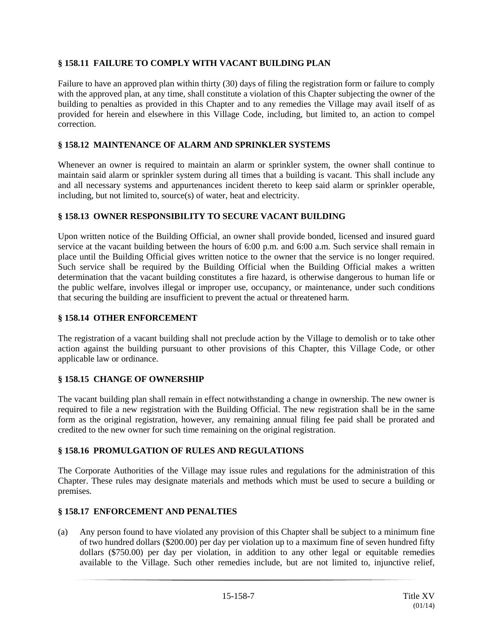## **§ 158.11 FAILURE TO COMPLY WITH VACANT BUILDING PLAN**

Failure to have an approved plan within thirty (30) days of filing the registration form or failure to comply with the approved plan, at any time, shall constitute a violation of this Chapter subjecting the owner of the building to penalties as provided in this Chapter and to any remedies the Village may avail itself of as provided for herein and elsewhere in this Village Code, including, but limited to, an action to compel correction.

### **§ 158.12 MAINTENANCE OF ALARM AND SPRINKLER SYSTEMS**

Whenever an owner is required to maintain an alarm or sprinkler system, the owner shall continue to maintain said alarm or sprinkler system during all times that a building is vacant. This shall include any and all necessary systems and appurtenances incident thereto to keep said alarm or sprinkler operable, including, but not limited to, source(s) of water, heat and electricity.

### **§ 158.13 OWNER RESPONSIBILITY TO SECURE VACANT BUILDING**

Upon written notice of the Building Official, an owner shall provide bonded, licensed and insured guard service at the vacant building between the hours of 6:00 p.m. and 6:00 a.m. Such service shall remain in place until the Building Official gives written notice to the owner that the service is no longer required. Such service shall be required by the Building Official when the Building Official makes a written determination that the vacant building constitutes a fire hazard, is otherwise dangerous to human life or the public welfare, involves illegal or improper use, occupancy, or maintenance, under such conditions that securing the building are insufficient to prevent the actual or threatened harm.

### **§ 158.14 OTHER ENFORCEMENT**

The registration of a vacant building shall not preclude action by the Village to demolish or to take other action against the building pursuant to other provisions of this Chapter, this Village Code, or other applicable law or ordinance.

## **§ 158.15 CHANGE OF OWNERSHIP**

The vacant building plan shall remain in effect notwithstanding a change in ownership. The new owner is required to file a new registration with the Building Official. The new registration shall be in the same form as the original registration, however, any remaining annual filing fee paid shall be prorated and credited to the new owner for such time remaining on the original registration.

#### **§ 158.16 PROMULGATION OF RULES AND REGULATIONS**

The Corporate Authorities of the Village may issue rules and regulations for the administration of this Chapter. These rules may designate materials and methods which must be used to secure a building or premises.

#### **§ 158.17 ENFORCEMENT AND PENALTIES**

(a) Any person found to have violated any provision of this Chapter shall be subject to a minimum fine of two hundred dollars (\$200.00) per day per violation up to a maximum fine of seven hundred fifty dollars (\$750.00) per day per violation, in addition to any other legal or equitable remedies available to the Village. Such other remedies include, but are not limited to, injunctive relief,